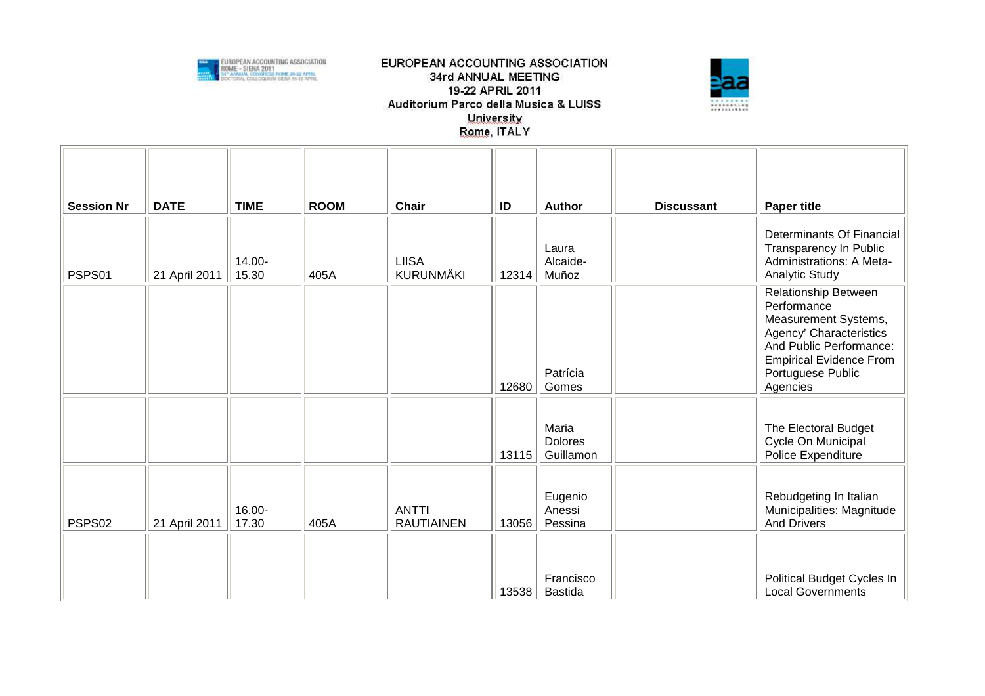



|                             |                              | <b>TIME</b>     | <b>ROOM</b> | Chair                             |             |                                             |                   |                                                                                                                                                                                             |
|-----------------------------|------------------------------|-----------------|-------------|-----------------------------------|-------------|---------------------------------------------|-------------------|---------------------------------------------------------------------------------------------------------------------------------------------------------------------------------------------|
| <b>Session Nr</b><br>PSPS01 | <b>DATE</b><br>21 April 2011 | 14.00-<br>15.30 | 405A        | <b>LIISA</b><br>KURUNMÄKI         | ID<br>12314 | <b>Author</b><br>Laura<br>Alcaide-<br>Muñoz | <b>Discussant</b> | <b>Paper title</b><br>Determinants Of Financial<br><b>Transparency In Public</b><br>Administrations: A Meta-<br><b>Analytic Study</b>                                                       |
|                             |                              |                 |             |                                   | 12680       | Patrícia<br>Gomes                           |                   | <b>Relationship Between</b><br>Performance<br>Measurement Systems,<br>Agency' Characteristics<br>And Public Performance:<br><b>Empirical Evidence From</b><br>Portuguese Public<br>Agencies |
|                             |                              |                 |             |                                   | 13115       | Maria<br><b>Dolores</b><br>Guillamon        |                   | The Electoral Budget<br>Cycle On Municipal<br>Police Expenditure                                                                                                                            |
| PSPS02                      | 21 April 2011                | 16.00-<br>17.30 | 405A        | <b>ANTTI</b><br><b>RAUTIAINEN</b> | 13056       | Eugenio<br>Anessi<br>Pessina                |                   | Rebudgeting In Italian<br>Municipalities: Magnitude<br><b>And Drivers</b>                                                                                                                   |
|                             |                              |                 |             |                                   | 13538       | Francisco<br><b>Bastida</b>                 |                   | Political Budget Cycles In<br><b>Local Governments</b>                                                                                                                                      |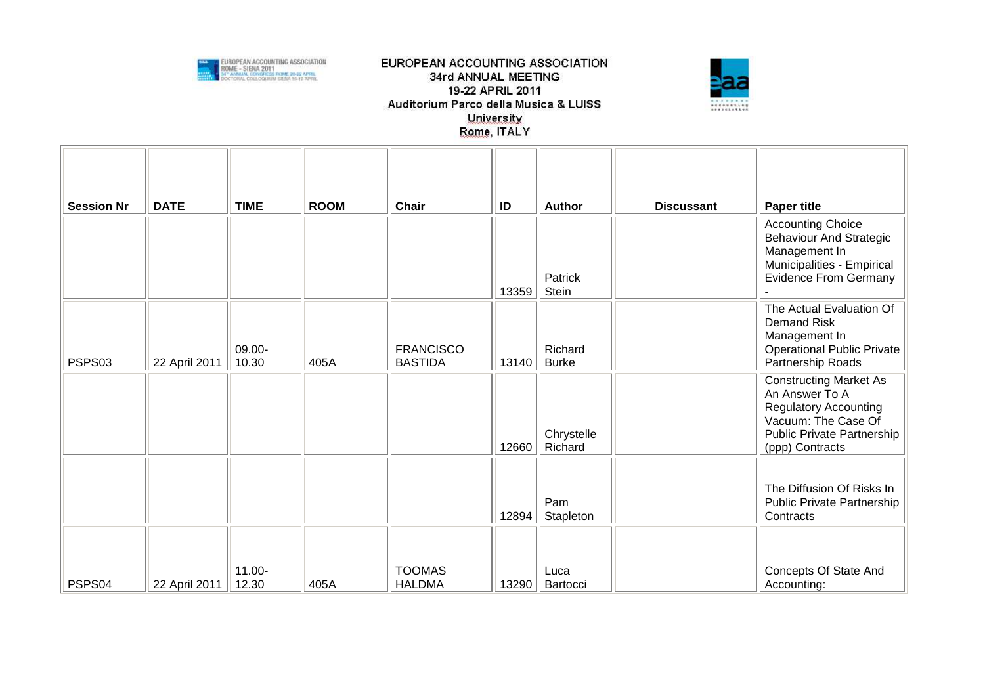



| <b>Session Nr</b> | <b>DATE</b>   | <b>TIME</b>        | <b>ROOM</b> | Chair                              | ID    | <b>Author</b>           | <b>Discussant</b> | <b>Paper title</b>                                                                                                                                      |
|-------------------|---------------|--------------------|-------------|------------------------------------|-------|-------------------------|-------------------|---------------------------------------------------------------------------------------------------------------------------------------------------------|
|                   |               |                    |             |                                    | 13359 | Patrick<br>Stein        |                   | <b>Accounting Choice</b><br><b>Behaviour And Strategic</b><br>Management In<br>Municipalities - Empirical<br><b>Evidence From Germany</b>               |
| PSPS03            | 22 April 2011 | 09.00-<br>10.30    | 405A        | <b>FRANCISCO</b><br><b>BASTIDA</b> | 13140 | Richard<br><b>Burke</b> |                   | The Actual Evaluation Of<br><b>Demand Risk</b><br>Management In<br><b>Operational Public Private</b><br>Partnership Roads                               |
|                   |               |                    |             |                                    | 12660 | Chrystelle<br>Richard   |                   | <b>Constructing Market As</b><br>An Answer To A<br><b>Regulatory Accounting</b><br>Vacuum: The Case Of<br>Public Private Partnership<br>(ppp) Contracts |
|                   |               |                    |             |                                    | 12894 | Pam<br>Stapleton        |                   | The Diffusion Of Risks In<br>Public Private Partnership<br>Contracts                                                                                    |
| PSPS04            | 22 April 2011 | $11.00 -$<br>12.30 | 405A        | <b>TOOMAS</b><br><b>HALDMA</b>     | 13290 | Luca<br>Bartocci        |                   | Concepts Of State And<br>Accounting:                                                                                                                    |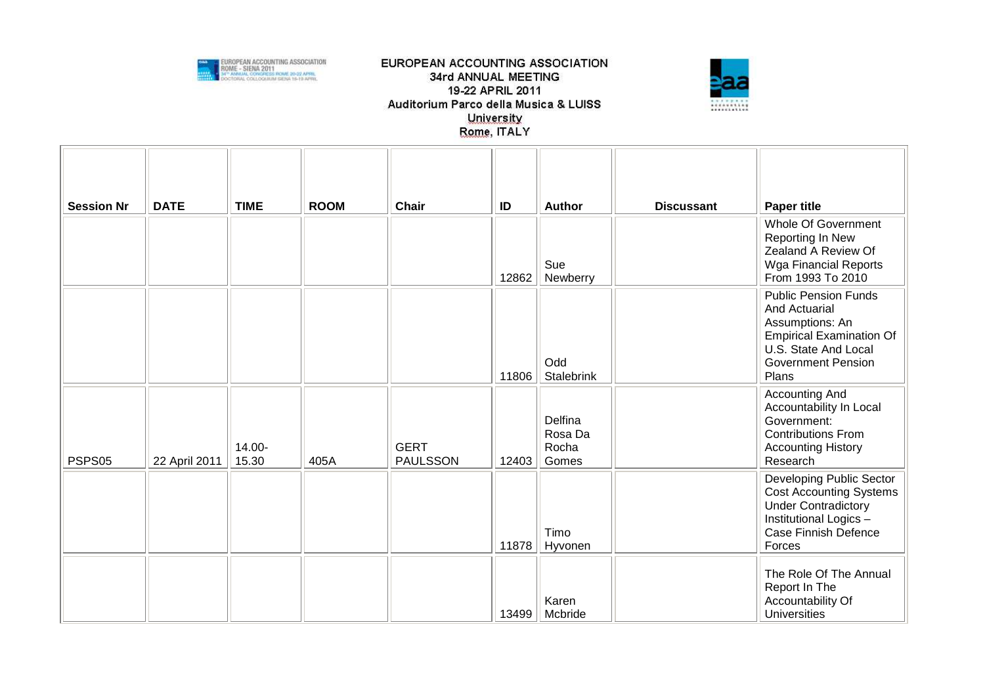



| <b>Session Nr</b> | <b>DATE</b>   | <b>TIME</b>     | <b>ROOM</b> | <b>Chair</b>                   | ID    | <b>Author</b>                        | <b>Discussant</b> | <b>Paper title</b>                                                                                                                                                      |
|-------------------|---------------|-----------------|-------------|--------------------------------|-------|--------------------------------------|-------------------|-------------------------------------------------------------------------------------------------------------------------------------------------------------------------|
|                   |               |                 |             |                                | 12862 | Sue<br>Newberry                      |                   | Whole Of Government<br>Reporting In New<br>Zealand A Review Of<br>Wga Financial Reports<br>From 1993 To 2010                                                            |
|                   |               |                 |             |                                | 11806 | Odd<br>Stalebrink                    |                   | <b>Public Pension Funds</b><br><b>And Actuarial</b><br>Assumptions: An<br><b>Empirical Examination Of</b><br>U.S. State And Local<br><b>Government Pension</b><br>Plans |
| PSPS05            | 22 April 2011 | 14.00-<br>15.30 | 405A        | <b>GERT</b><br><b>PAULSSON</b> | 12403 | Delfina<br>Rosa Da<br>Rocha<br>Gomes |                   | <b>Accounting And</b><br>Accountability In Local<br>Government:<br><b>Contributions From</b><br><b>Accounting History</b><br>Research                                   |
|                   |               |                 |             |                                | 11878 | Timo<br>Hyvonen                      |                   | Developing Public Sector<br><b>Cost Accounting Systems</b><br><b>Under Contradictory</b><br>Institutional Logics -<br>Case Finnish Defence<br>Forces                    |
|                   |               |                 |             |                                | 13499 | Karen<br>Mcbride                     |                   | The Role Of The Annual<br>Report In The<br>Accountability Of<br><b>Universities</b>                                                                                     |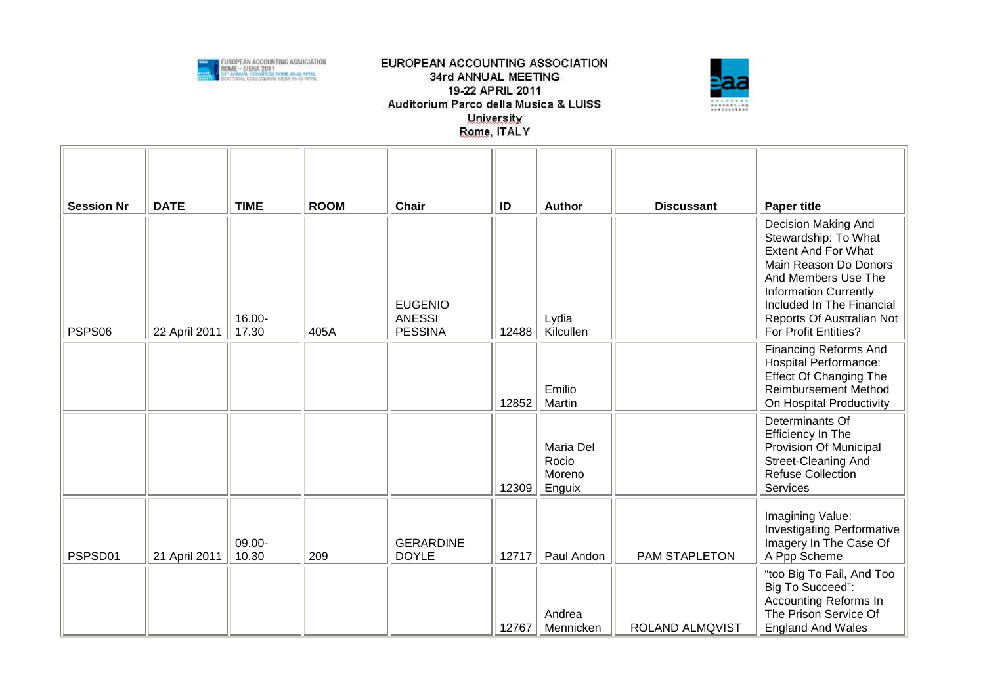



| <b>Session Nr</b> | <b>DATE</b>   | <b>TIME</b>     | <b>ROOM</b> | Chair                           | ID    | Author              | <b>Discussant</b> | <b>Paper title</b><br>Decision Making And                     |
|-------------------|---------------|-----------------|-------------|---------------------------------|-------|---------------------|-------------------|---------------------------------------------------------------|
|                   |               |                 |             |                                 |       |                     |                   | Stewardship: To What                                          |
|                   |               |                 |             |                                 |       |                     |                   | <b>Extent And For What</b><br>Main Reason Do Donors           |
|                   |               |                 |             |                                 |       |                     |                   | And Members Use The                                           |
|                   |               |                 |             | <b>EUGENIO</b>                  |       |                     |                   | <b>Information Currently</b><br>Included In The Financial     |
| PSPS06            | 22 April 2011 | 16.00-<br>17.30 | 405A        | <b>ANESSI</b><br><b>PESSINA</b> | 12488 | Lydia<br>Kilcullen  |                   | Reports Of Australian Not<br>For Profit Entities?             |
|                   |               |                 |             |                                 |       |                     |                   | <b>Financing Reforms And</b>                                  |
|                   |               |                 |             |                                 |       |                     |                   | <b>Hospital Performance:</b><br><b>Effect Of Changing The</b> |
|                   |               |                 |             |                                 |       | Emilio              |                   | <b>Reimbursement Method</b>                                   |
|                   |               |                 |             |                                 | 12852 | Martin              |                   | On Hospital Productivity<br>Determinants Of                   |
|                   |               |                 |             |                                 |       |                     |                   | Efficiency In The                                             |
|                   |               |                 |             |                                 |       | Maria Del<br>Rocio  |                   | Provision Of Municipal<br>Street-Cleaning And                 |
|                   |               |                 |             |                                 |       | Moreno              |                   | <b>Refuse Collection</b>                                      |
|                   |               |                 |             |                                 | 12309 | Enguix              |                   | Services                                                      |
|                   |               |                 |             |                                 |       |                     |                   | Imagining Value:                                              |
|                   |               | 09.00-          |             | <b>GERARDINE</b>                |       |                     |                   | <b>Investigating Performative</b><br>Imagery In The Case Of   |
| PSPSD01           | 21 April 2011 | 10.30           | 209         | <b>DOYLE</b>                    | 12717 | Paul Andon          | PAM STAPLETON     | A Ppp Scheme                                                  |
|                   |               |                 |             |                                 |       |                     |                   | "too Big To Fail, And Too<br>Big To Succeed":                 |
|                   |               |                 |             |                                 |       |                     |                   | <b>Accounting Reforms In</b>                                  |
|                   |               |                 |             |                                 | 12767 | Andrea<br>Mennicken | ROLAND ALMQVIST   | The Prison Service Of<br><b>England And Wales</b>             |